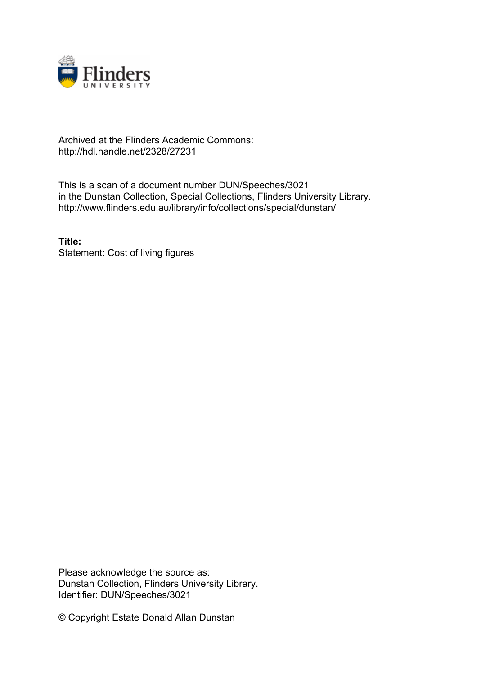

## Archived at the Flinders Academic Commons: http://hdl.handle.net/2328/27231

This is a scan of a document number DUN/Speeches/3021 in the Dunstan Collection, Special Collections, Flinders University Library. http://www.flinders.edu.au/library/info/collections/special/dunstan/

**Title:** Statement: Cost of living figures

Please acknowledge the source as: Dunstan Collection, Flinders University Library. Identifier: DUN/Speeches/3021

© Copyright Estate Donald Allan Dunstan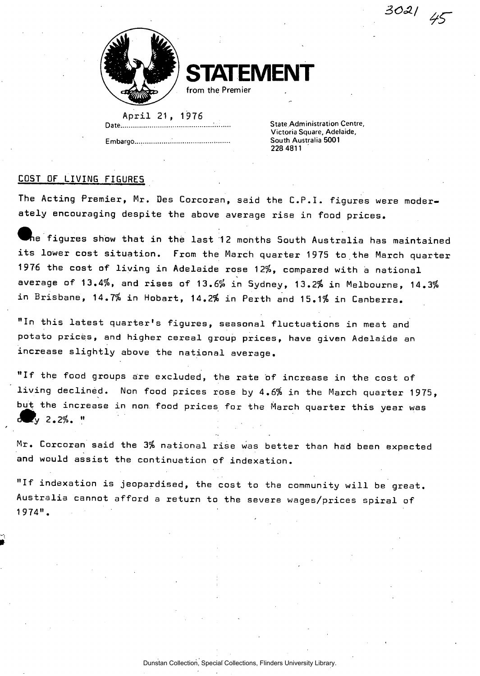**STATEMENT** 

**from the Premier** 

April 21, 1976 **Date. State Administration Centre,** 

**State Administration Centre, South Australia 5001 Embargo South Australia 5001** 

*SO\*,* 

## COST OF LIVING FIGURES

The Acting Premier, Mr. Des Corcoran, said the C.P.I. figures were moderately encouraging despite the above average rise in food prices.

 $\bar{f}$  figures show that in the last 12 months South Australia has maintained its lower cost situation. From the March quarter 1975 to the March quarter 1976 the cost of living in Adelaide rose 12%, compared with a national average of 13.4%, and rises of 13.6% in Sydney, 13.2% in Melbourne, 14.3% in Brisbane, 14.7% in Hobart, 14.2% in Perth and 15.1% in Canberra.

"In this latest quarter's figures, seasonal fluctuations in meat and potato prices, and higher cereal group prices, have given Adelaide an increase slightly above the national average.

"If the food groups are excluded, the rate of increase in the cost of living declined. Non food prices rose by 4.6% in the March quarter 1975, but the increase in non food prices for the March quarter this year was  $d = y^2 - 2, z^2 - z^3$ 

Mr. Corcoran said the 3% national rise was better than had been expected and would assist the continuation of indexation.

"If indexation is jeopardised, the cost to the community will be great.  $\,$ Australia cannot afford a return to the severe wages/prices spiral of 1974" .